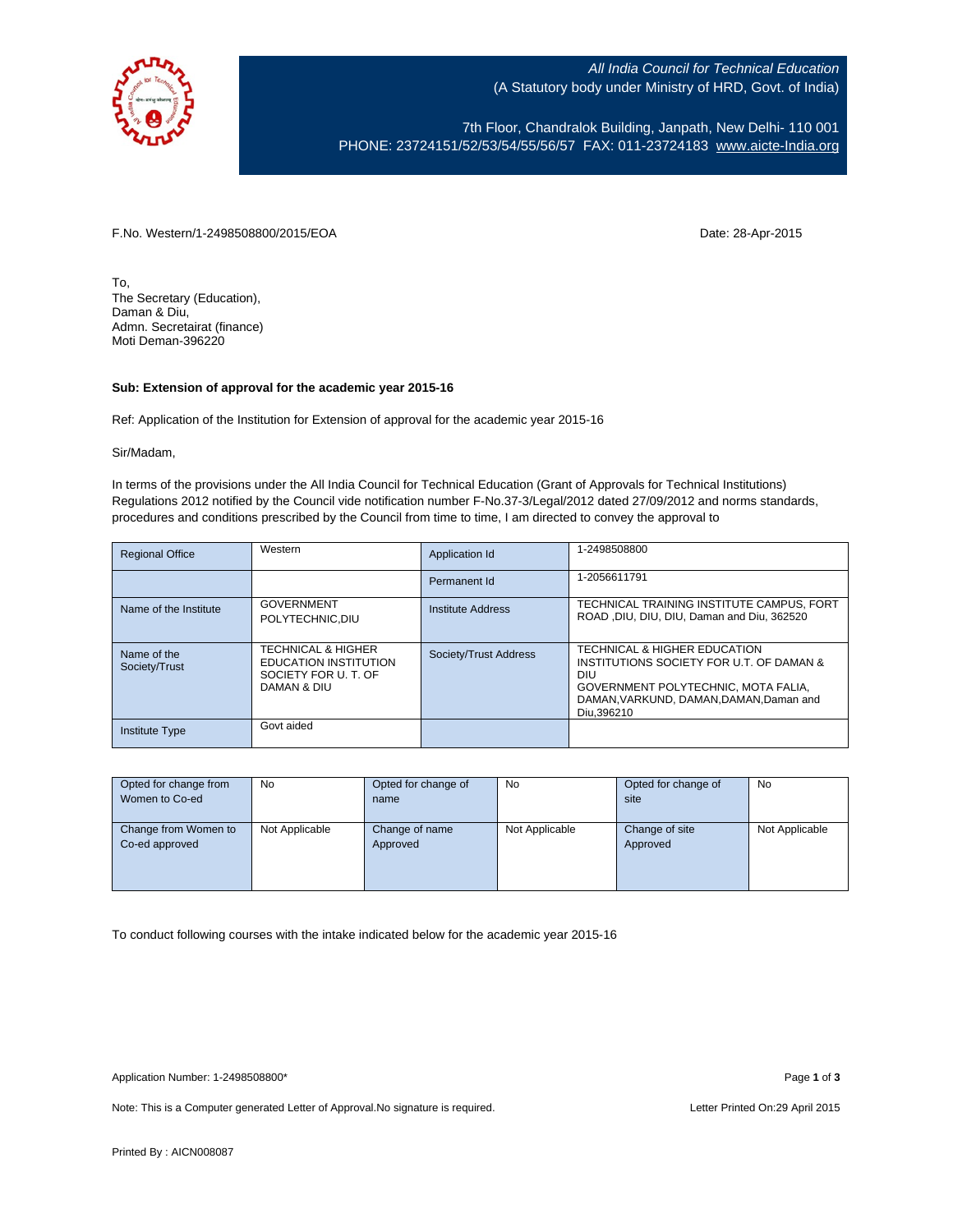

All India Council for Technical Education (A Statutory body under Ministry of HRD, Govt. of India)

7th Floor, Chandralok Building, Janpath, New Delhi- 110 001 PHONE: 23724151/52/53/54/55/56/57 FAX: 011-23724183 [www.aicte-India.org](http://www.aicte-india.org/)

F.No. Western/1-2498508800/2015/EOA Date: 28-Apr-2015

To, The Secretary (Education), Daman & Diu, Admn. Secretairat (finance) Moti Deman-396220

## **Sub: Extension of approval for the academic year 2015-16**

Ref: Application of the Institution for Extension of approval for the academic year 2015-16

Sir/Madam,

In terms of the provisions under the All India Council for Technical Education (Grant of Approvals for Technical Institutions) Regulations 2012 notified by the Council vide notification number F-No.37-3/Legal/2012 dated 27/09/2012 and norms standards, procedures and conditions prescribed by the Council from time to time, I am directed to convey the approval to

| <b>Regional Office</b>       | Western                                                                                             | <b>Application Id</b> | 1-2498508800                                                                                                                                                                    |
|------------------------------|-----------------------------------------------------------------------------------------------------|-----------------------|---------------------------------------------------------------------------------------------------------------------------------------------------------------------------------|
|                              |                                                                                                     | Permanent Id          | 1-2056611791                                                                                                                                                                    |
| Name of the Institute        | <b>GOVERNMENT</b><br>POLYTECHNIC.DIU                                                                | Institute Address     | TECHNICAL TRAINING INSTITUTE CAMPUS, FORT<br>ROAD, DIU, DIU, DIU, Daman and Diu, 362520                                                                                         |
| Name of the<br>Society/Trust | <b>TECHNICAL &amp; HIGHER</b><br><b>EDUCATION INSTITUTION</b><br>SOCIETY FOR U.T. OF<br>DAMAN & DIU | Society/Trust Address | TECHNICAL & HIGHER EDUCATION<br>INSTITUTIONS SOCIETY FOR U.T. OF DAMAN &<br>DIU<br>GOVERNMENT POLYTECHNIC. MOTA FALIA.<br>DAMAN, VARKUND, DAMAN, DAMAN, Daman and<br>Diu.396210 |
| Institute Type               | Govt aided                                                                                          |                       |                                                                                                                                                                                 |

| Opted for change from | No             | Opted for change of | No             | Opted for change of | No             |
|-----------------------|----------------|---------------------|----------------|---------------------|----------------|
| Women to Co-ed        |                | name                |                | site                |                |
|                       |                |                     |                |                     |                |
| Change from Women to  | Not Applicable | Change of name      | Not Applicable | Change of site      | Not Applicable |
| Co-ed approved        |                | Approved            |                | Approved            |                |
|                       |                |                     |                |                     |                |
|                       |                |                     |                |                     |                |
|                       |                |                     |                |                     |                |

To conduct following courses with the intake indicated below for the academic year 2015-16

Application Number: 1-2498508800\* Page **1** of **3**

Note: This is a Computer generated Letter of Approval. No signature is required. Letter Printed On:29 April 2015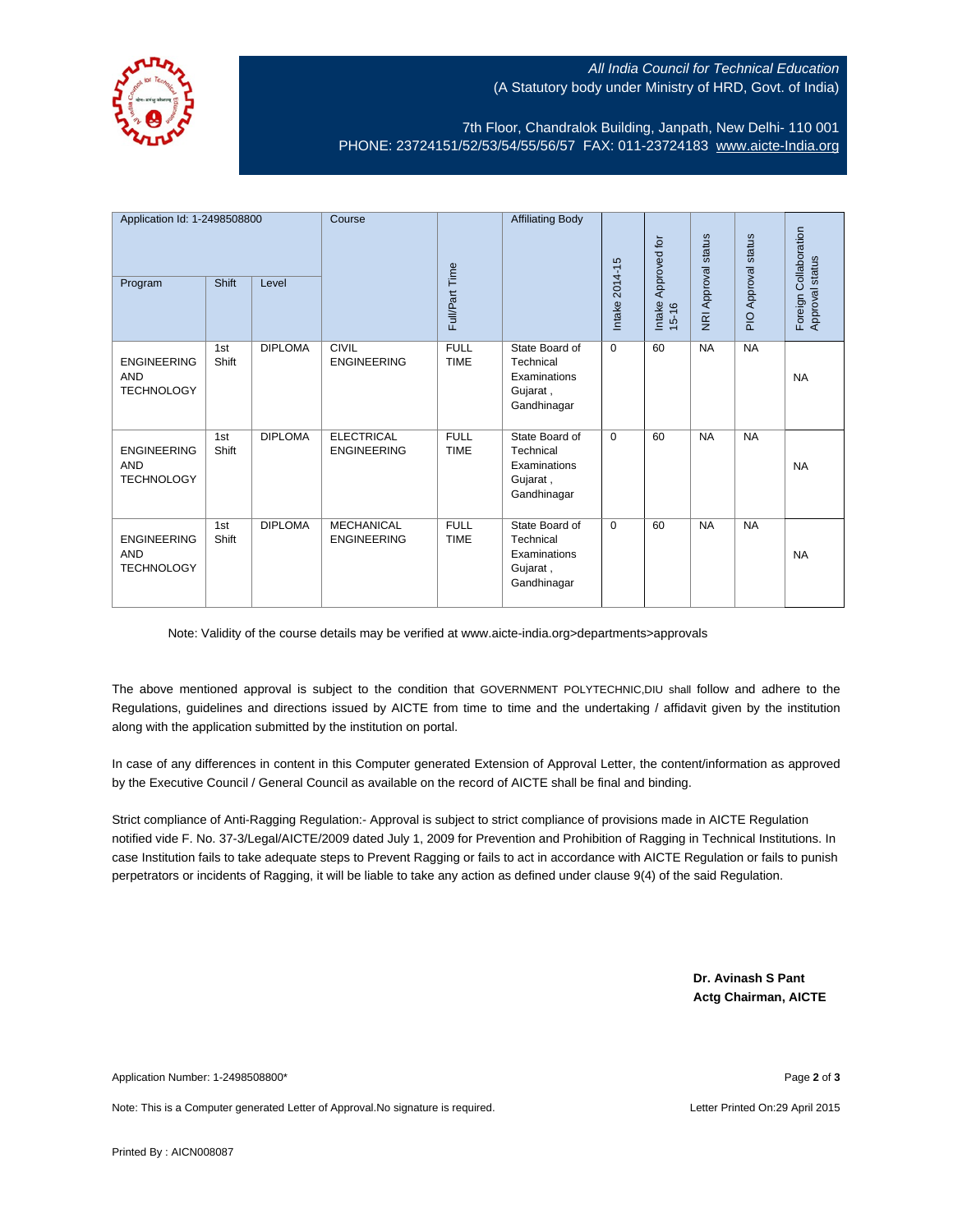

## All India Council for Technical Education (A Statutory body under Ministry of HRD, Govt. of India)

7th Floor, Chandralok Building, Janpath, New Delhi- 110 001 PHONE: 23724151/52/53/54/55/56/57 FAX: 011-23724183 [www.aicte-India.org](http://www.aicte-india.org/)

| Application Id: 1-2498508800<br>Program               | Shift        | Level          | Course                                  | Full/Part Time             | <b>Affiliating Body</b>                                                | Intake 2014-15 | Approved for<br>Intake<br>$15 - 16$ | <b>NRI Approval status</b> | status<br>Approval<br>$\overline{P}$ | Foreign Collaboration<br>Approval status |
|-------------------------------------------------------|--------------|----------------|-----------------------------------------|----------------------------|------------------------------------------------------------------------|----------------|-------------------------------------|----------------------------|--------------------------------------|------------------------------------------|
| <b>ENGINEERING</b><br><b>AND</b><br><b>TECHNOLOGY</b> | 1st<br>Shift | <b>DIPLOMA</b> | <b>CIVIL</b><br><b>ENGINEERING</b>      | <b>FULL</b><br><b>TIME</b> | State Board of<br>Technical<br>Examinations<br>Gujarat,<br>Gandhinagar | $\mathbf 0$    | 60                                  | <b>NA</b>                  | <b>NA</b>                            | <b>NA</b>                                |
| <b>ENGINEERING</b><br><b>AND</b><br><b>TECHNOLOGY</b> | 1st<br>Shift | <b>DIPLOMA</b> | <b>ELECTRICAL</b><br><b>ENGINEERING</b> | <b>FULL</b><br><b>TIME</b> | State Board of<br>Technical<br>Examinations<br>Gujarat,<br>Gandhinagar | $\Omega$       | 60                                  | <b>NA</b>                  | <b>NA</b>                            | <b>NA</b>                                |
| <b>ENGINEERING</b><br><b>AND</b><br><b>TECHNOLOGY</b> | 1st<br>Shift | <b>DIPLOMA</b> | <b>MECHANICAL</b><br><b>ENGINEERING</b> | <b>FULL</b><br><b>TIME</b> | State Board of<br>Technical<br>Examinations<br>Gujarat,<br>Gandhinagar | $\Omega$       | 60                                  | <b>NA</b>                  | <b>NA</b>                            | <b>NA</b>                                |

Note: Validity of the course details may be verified at www.aicte-india.org>departments>approvals

The above mentioned approval is subject to the condition that GOVERNMENT POLYTECHNIC,DIU shall follow and adhere to the Regulations, guidelines and directions issued by AICTE from time to time and the undertaking / affidavit given by the institution along with the application submitted by the institution on portal.

In case of any differences in content in this Computer generated Extension of Approval Letter, the content/information as approved by the Executive Council / General Council as available on the record of AICTE shall be final and binding.

Strict compliance of Anti-Ragging Regulation:- Approval is subject to strict compliance of provisions made in AICTE Regulation notified vide F. No. 37-3/Legal/AICTE/2009 dated July 1, 2009 for Prevention and Prohibition of Ragging in Technical Institutions. In case Institution fails to take adequate steps to Prevent Ragging or fails to act in accordance with AICTE Regulation or fails to punish perpetrators or incidents of Ragging, it will be liable to take any action as defined under clause 9(4) of the said Regulation.

> **Dr. Avinash S Pant Actg Chairman, AICTE**

Application Number: 1-2498508800\* Page **2** of **3**

Note: This is a Computer generated Letter of Approval.No signature is required. Letter According the state of Approval.No signature is required.